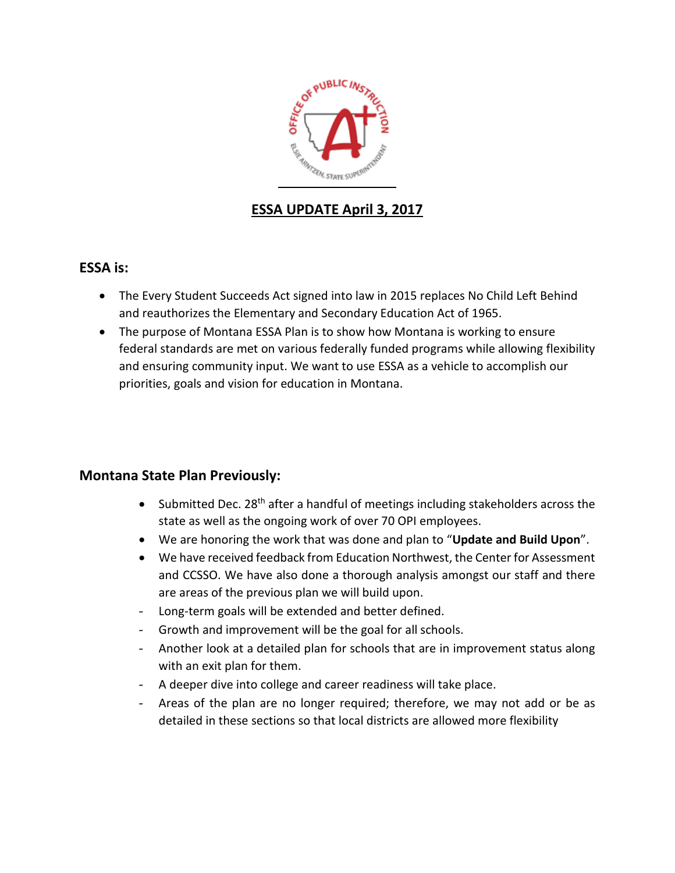

# **ESSA UPDATE April 3, 2017**

## **ESSA is:**

- The Every Student Succeeds Act signed into law in 2015 replaces No Child Left Behind and reauthorizes the Elementary and Secondary Education Act of 1965.
- The purpose of Montana ESSA Plan is to show how Montana is working to ensure federal standards are met on various federally funded programs while allowing flexibility and ensuring community input. We want to use ESSA as a vehicle to accomplish our priorities, goals and vision for education in Montana.

## **Montana State Plan Previously:**

- Submitted Dec. 28<sup>th</sup> after a handful of meetings including stakeholders across the state as well as the ongoing work of over 70 OPI employees.
- We are honoring the work that was done and plan to "**Update and Build Upon**".
- We have received feedback from Education Northwest, the Center for Assessment and CCSSO. We have also done a thorough analysis amongst our staff and there are areas of the previous plan we will build upon.
- Long-term goals will be extended and better defined.
- Growth and improvement will be the goal for all schools.
- Another look at a detailed plan for schools that are in improvement status along with an exit plan for them.
- A deeper dive into college and career readiness will take place.
- Areas of the plan are no longer required; therefore, we may not add or be as detailed in these sections so that local districts are allowed more flexibility